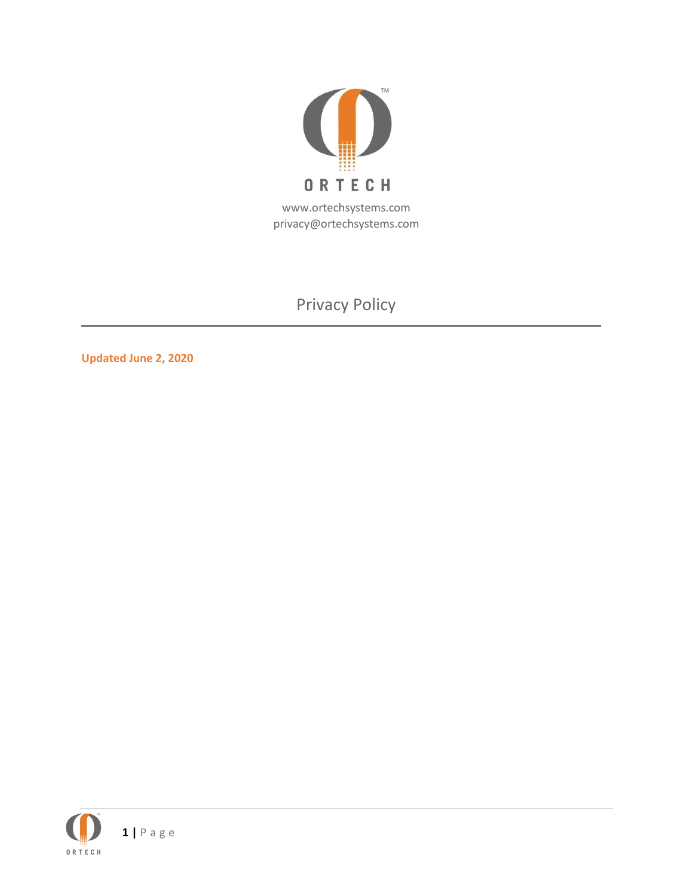

# Privacy Policy

**Updated June 2, 2020**

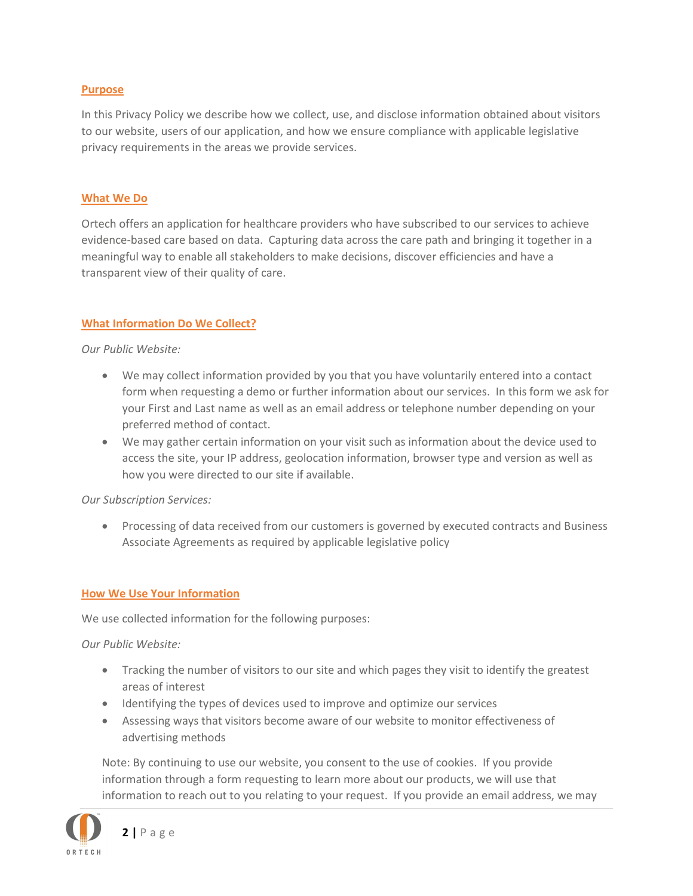#### **Purpose**

In this Privacy Policy we describe how we collect, use, and disclose information obtained about visitors to our website, users of our application, and how we ensure compliance with applicable legislative privacy requirements in the areas we provide services.

#### **What We Do**

Ortech offers an application for healthcare providers who have subscribed to our services to achieve evidence-based care based on data. Capturing data across the care path and bringing it together in a meaningful way to enable all stakeholders to make decisions, discover efficiencies and have a transparent view of their quality of care.

#### **What Information Do We Collect?**

#### *Our Public Website:*

- We may collect information provided by you that you have voluntarily entered into a contact form when requesting a demo or further information about our services. In this form we ask for your First and Last name as well as an email address or telephone number depending on your preferred method of contact.
- We may gather certain information on your visit such as information about the device used to access the site, your IP address, geolocation information, browser type and version as well as how you were directed to our site if available.

#### *Our Subscription Services:*

• Processing of data received from our customers is governed by executed contracts and Business Associate Agreements as required by applicable legislative policy

#### **How We Use Your Information**

We use collected information for the following purposes:

*Our Public Website:*

- Tracking the number of visitors to our site and which pages they visit to identify the greatest areas of interest
- Identifying the types of devices used to improve and optimize our services
- Assessing ways that visitors become aware of our website to monitor effectiveness of advertising methods

Note: By continuing to use our website, you consent to the use of cookies. If you provide information through a form requesting to learn more about our products, we will use that information to reach out to you relating to your request. If you provide an email address, we may

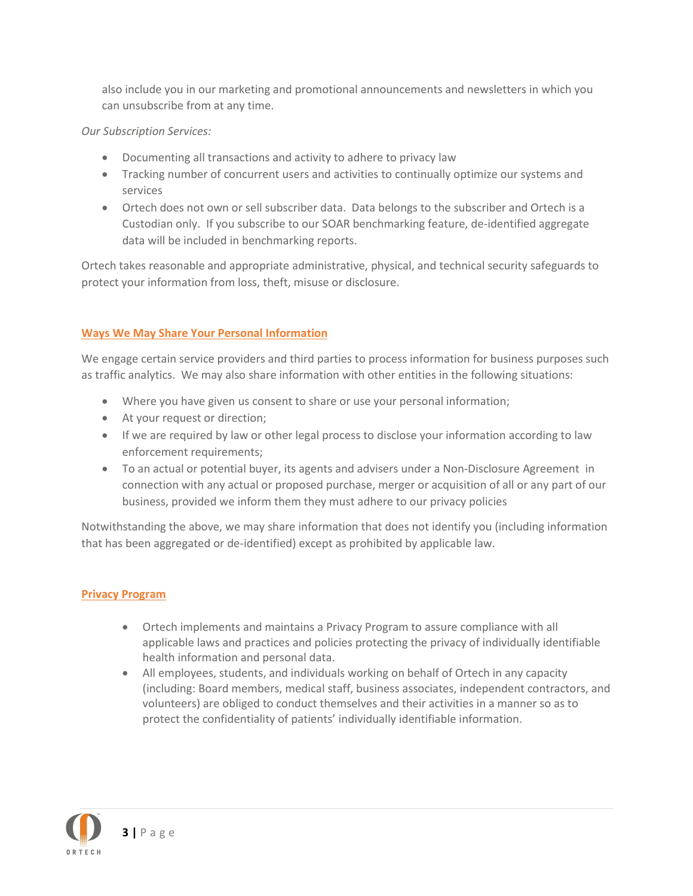also include you in our marketing and promotional announcements and newsletters in which you can unsubscribe from at any time.

## *Our Subscription Services:*

- Documenting all transactions and activity to adhere to privacy law
- Tracking number of concurrent users and activities to continually optimize our systems and services
- Ortech does not own or sell subscriber data. Data belongs to the subscriber and Ortech is a Custodian only. If you subscribe to our SOAR benchmarking feature, de-identified aggregate data will be included in benchmarking reports.

Ortech takes reasonable and appropriate administrative, physical, and technical security safeguards to protect your information from loss, theft, misuse or disclosure.

# **Ways We May Share Your Personal Information**

We engage certain service providers and third parties to process information for business purposes such as traffic analytics. We may also share information with other entities in the following situations:

- Where you have given us consent to share or use your personal information;
- At your request or direction;
- If we are required by law or other legal process to disclose your information according to law enforcement requirements;
- To an actual or potential buyer, its agents and advisers under a Non-Disclosure Agreement in connection with any actual or proposed purchase, merger or acquisition of all or any part of our business, provided we inform them they must adhere to our privacy policies

Notwithstanding the above, we may share information that does not identify you (including information that has been aggregated or de-identified) except as prohibited by applicable law.

# **Privacy Program**

- Ortech implements and maintains a Privacy Program to assure compliance with all applicable laws and practices and policies protecting the privacy of individually identifiable health information and personal data.
- All employees, students, and individuals working on behalf of Ortech in any capacity (including: Board members, medical staff, business associates, independent contractors, and volunteers) are obliged to conduct themselves and their activities in a manner so as to protect the confidentiality of patients' individually identifiable information.

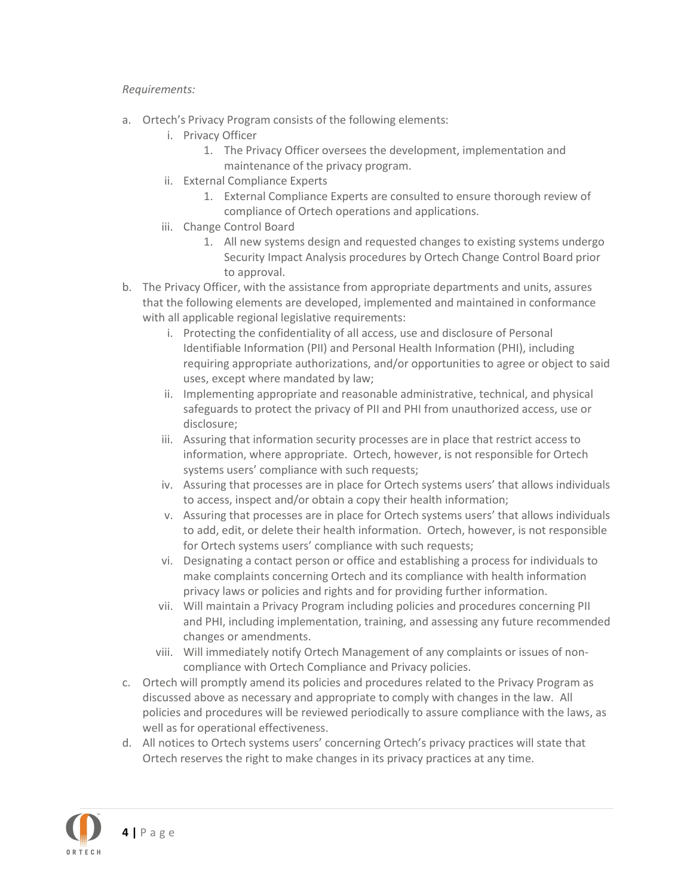## *Requirements:*

- a. Ortech's Privacy Program consists of the following elements:
	- i. Privacy Officer
		- 1. The Privacy Officer oversees the development, implementation and maintenance of the privacy program.
	- ii. External Compliance Experts
		- 1. External Compliance Experts are consulted to ensure thorough review of compliance of Ortech operations and applications.
	- iii. Change Control Board
		- 1. All new systems design and requested changes to existing systems undergo Security Impact Analysis procedures by Ortech Change Control Board prior to approval.
- b. The Privacy Officer, with the assistance from appropriate departments and units, assures that the following elements are developed, implemented and maintained in conformance with all applicable regional legislative requirements:
	- i. Protecting the confidentiality of all access, use and disclosure of Personal Identifiable Information (PII) and Personal Health Information (PHI), including requiring appropriate authorizations, and/or opportunities to agree or object to said uses, except where mandated by law;
	- ii. Implementing appropriate and reasonable administrative, technical, and physical safeguards to protect the privacy of PII and PHI from unauthorized access, use or disclosure;
	- iii. Assuring that information security processes are in place that restrict access to information, where appropriate. Ortech, however, is not responsible for Ortech systems users' compliance with such requests;
	- iv. Assuring that processes are in place for Ortech systems users' that allows individuals to access, inspect and/or obtain a copy their health information;
	- v. Assuring that processes are in place for Ortech systems users' that allows individuals to add, edit, or delete their health information. Ortech, however, is not responsible for Ortech systems users' compliance with such requests;
	- vi. Designating a contact person or office and establishing a process for individuals to make complaints concerning Ortech and its compliance with health information privacy laws or policies and rights and for providing further information.
	- vii. Will maintain a Privacy Program including policies and procedures concerning PII and PHI, including implementation, training, and assessing any future recommended changes or amendments.
	- viii. Will immediately notify Ortech Management of any complaints or issues of noncompliance with Ortech Compliance and Privacy policies.
- c. Ortech will promptly amend its policies and procedures related to the Privacy Program as discussed above as necessary and appropriate to comply with changes in the law. All policies and procedures will be reviewed periodically to assure compliance with the laws, as well as for operational effectiveness.
- d. All notices to Ortech systems users' concerning Ortech's privacy practices will state that Ortech reserves the right to make changes in its privacy practices at any time.